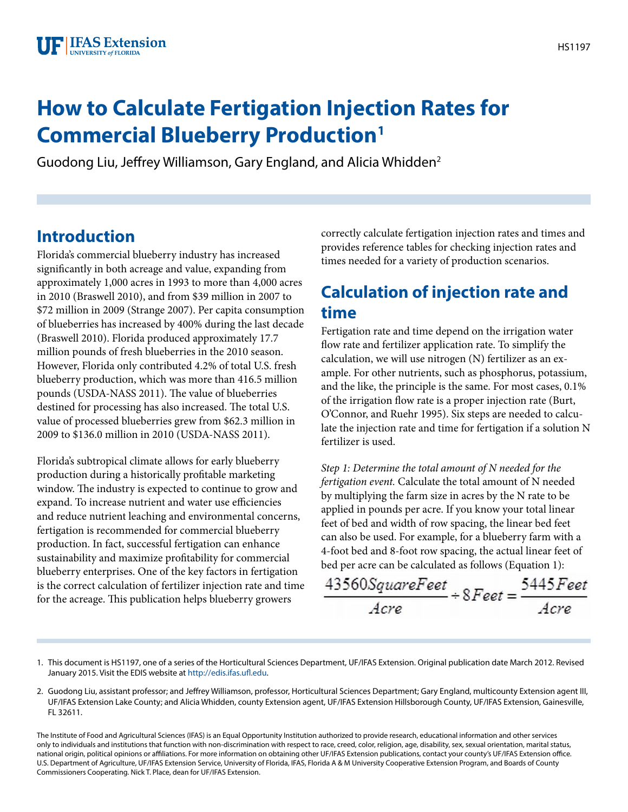# **How to Calculate Fertigation Injection Rates for Commercial Blueberry Production1**

Guodong Liu, Jeffrey Williamson, Gary England, and Alicia Whidden2

## **Introduction**

Florida's commercial blueberry industry has increased significantly in both acreage and value, expanding from approximately 1,000 acres in 1993 to more than 4,000 acres in 2010 (Braswell 2010), and from \$39 million in 2007 to \$72 million in 2009 (Strange 2007). Per capita consumption of blueberries has increased by 400% during the last decade (Braswell 2010). Florida produced approximately 17.7 million pounds of fresh blueberries in the 2010 season. However, Florida only contributed 4.2% of total U.S. fresh blueberry production, which was more than 416.5 million pounds (USDA-NASS 2011). The value of blueberries destined for processing has also increased. The total U.S. value of processed blueberries grew from \$62.3 million in 2009 to \$136.0 million in 2010 (USDA-NASS 2011).

Florida's subtropical climate allows for early blueberry production during a historically profitable marketing window. The industry is expected to continue to grow and expand. To increase nutrient and water use efficiencies and reduce nutrient leaching and environmental concerns, fertigation is recommended for commercial blueberry production. In fact, successful fertigation can enhance sustainability and maximize profitability for commercial blueberry enterprises. One of the key factors in fertigation is the correct calculation of fertilizer injection rate and time for the acreage. This publication helps blueberry growers

correctly calculate fertigation injection rates and times and provides reference tables for checking injection rates and times needed for a variety of production scenarios.

# **Calculation of injection rate and time**

Fertigation rate and time depend on the irrigation water flow rate and fertilizer application rate. To simplify the calculation, we will use nitrogen (N) fertilizer as an example. For other nutrients, such as phosphorus, potassium, and the like, the principle is the same. For most cases, 0.1% of the irrigation flow rate is a proper injection rate (Burt, O'Connor, and Ruehr 1995). Six steps are needed to calculate the injection rate and time for fertigation if a solution N fertilizer is used.

*Step 1: Determine the total amount of N needed for the fertigation event.* Calculate the total amount of N needed by multiplying the farm size in acres by the N rate to be applied in pounds per acre. If you know your total linear feet of bed and width of row spacing, the linear bed feet can also be used. For example, for a blueberry farm with a 4-foot bed and 8-foot row spacing, the actual linear feet of bed per acre can be calculated as follows (Equation 1):

$$
\frac{43560 SquareFeet}{Acre} \div 8 Feet = \frac{5445Feet}{Acre}
$$

- 1. This document is HS1197, one of a series of the Horticultural Sciences Department, UF/IFAS Extension. Original publication date March 2012. Revised January 2015. Visit the EDIS website at<http://edis.ifas.ufl.edu>.
- 2. Guodong Liu, assistant professor; and Jeffrey Williamson, professor, Horticultural Sciences Department; Gary England, multicounty Extension agent III, UF/IFAS Extension Lake County; and Alicia Whidden, county Extension agent, UF/IFAS Extension Hillsborough County, UF/IFAS Extension, Gainesville, FL 32611.

The Institute of Food and Agricultural Sciences (IFAS) is an Equal Opportunity Institution authorized to provide research, educational information and other services only to individuals and institutions that function with non-discrimination with respect to race, creed, color, religion, age, disability, sex, sexual orientation, marital status, national origin, political opinions or affiliations. For more information on obtaining other UF/IFAS Extension publications, contact your county's UF/IFAS Extension office. U.S. Department of Agriculture, UF/IFAS Extension Service, University of Florida, IFAS, Florida A & M University Cooperative Extension Program, and Boards of County Commissioners Cooperating. Nick T. Place, dean for UF/IFAS Extension.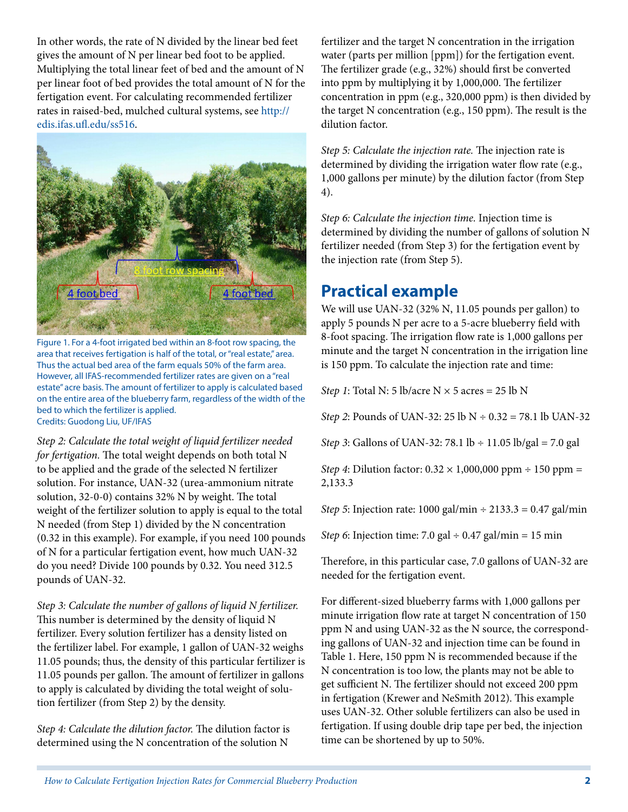In other words, the rate of N divided by the linear bed feet gives the amount of N per linear bed foot to be applied. Multiplying the total linear feet of bed and the amount of N per linear foot of bed provides the total amount of N for the fertigation event. For calculating recommended fertilizer rates in raised-bed, mulched cultural systems, see [http://](http://edis.ifas.ufl.edu/ss516) [edis.ifas.ufl.edu/ss516](http://edis.ifas.ufl.edu/ss516).



Figure 1. For a 4-foot irrigated bed within an 8-foot row spacing, the area that receives fertigation is half of the total, or "real estate," area. Thus the actual bed area of the farm equals 50% of the farm area. However, all IFAS-recommended fertilizer rates are given on a "real estate" acre basis. The amount of fertilizer to apply is calculated based on the entire area of the blueberry farm, regardless of the width of the bed to which the fertilizer is applied. Credits: Guodong Liu, UF/IFAS

*Step 2: Calculate the total weight of liquid fertilizer needed for fertigation.* The total weight depends on both total N to be applied and the grade of the selected N fertilizer solution. For instance, UAN-32 (urea-ammonium nitrate solution, 32-0-0) contains 32% N by weight. The total weight of the fertilizer solution to apply is equal to the total N needed (from Step 1) divided by the N concentration (0.32 in this example). For example, if you need 100 pounds of N for a particular fertigation event, how much UAN-32 do you need? Divide 100 pounds by 0.32. You need 312.5 pounds of UAN-32.

*Step 3: Calculate the number of gallons of liquid N fertilizer.*  This number is determined by the density of liquid N fertilizer. Every solution fertilizer has a density listed on the fertilizer label. For example, 1 gallon of UAN-32 weighs 11.05 pounds; thus, the density of this particular fertilizer is 11.05 pounds per gallon. The amount of fertilizer in gallons to apply is calculated by dividing the total weight of solution fertilizer (from Step 2) by the density.

*Step 4: Calculate the dilution factor.* The dilution factor is determined using the N concentration of the solution N

fertilizer and the target N concentration in the irrigation water (parts per million [ppm]) for the fertigation event. The fertilizer grade (e.g., 32%) should first be converted into ppm by multiplying it by 1,000,000. The fertilizer concentration in ppm (e.g., 320,000 ppm) is then divided by the target N concentration (e.g., 150 ppm). The result is the dilution factor.

*Step 5: Calculate the injection rate.* The injection rate is determined by dividing the irrigation water flow rate (e.g., 1,000 gallons per minute) by the dilution factor (from Step 4).

*Step 6: Calculate the injection time.* Injection time is determined by dividing the number of gallons of solution N fertilizer needed (from Step 3) for the fertigation event by the injection rate (from Step 5).

### **Practical example**

We will use UAN-32 (32% N, 11.05 pounds per gallon) to apply 5 pounds N per acre to a 5-acre blueberry field with 8-foot spacing. The irrigation flow rate is 1,000 gallons per minute and the target N concentration in the irrigation line is 150 ppm. To calculate the injection rate and time:

*Step 1*: Total N: 5 lb/acre  $N \times 5$  acres = 25 lb N

*Step 2*: Pounds of UAN-32: 25 lb N ÷ 0.32 = 78.1 lb UAN-32

*Step 3*: Gallons of UAN-32: 78.1 lb ÷ 11.05 lb/gal = 7.0 gal

*Step 4*: Dilution factor: 0.32 × 1,000,000 ppm ÷ 150 ppm = 2,133.3

*Step 5*: Injection rate: 1000 gal/min ÷ 2133.3 = 0.47 gal/min

*Step 6*: Injection time: 7.0 gal ÷ 0.47 gal/min = 15 min

Therefore, in this particular case, 7.0 gallons of UAN-32 are needed for the fertigation event.

For different-sized blueberry farms with 1,000 gallons per minute irrigation flow rate at target N concentration of 150 ppm N and using UAN-32 as the N source, the corresponding gallons of UAN-32 and injection time can be found in Table 1. Here, 150 ppm N is recommended because if the N concentration is too low, the plants may not be able to get sufficient N. The fertilizer should not exceed 200 ppm in fertigation (Krewer and NeSmith 2012). This example uses UAN-32. Other soluble fertilizers can also be used in fertigation. If using double drip tape per bed, the injection time can be shortened by up to 50%.